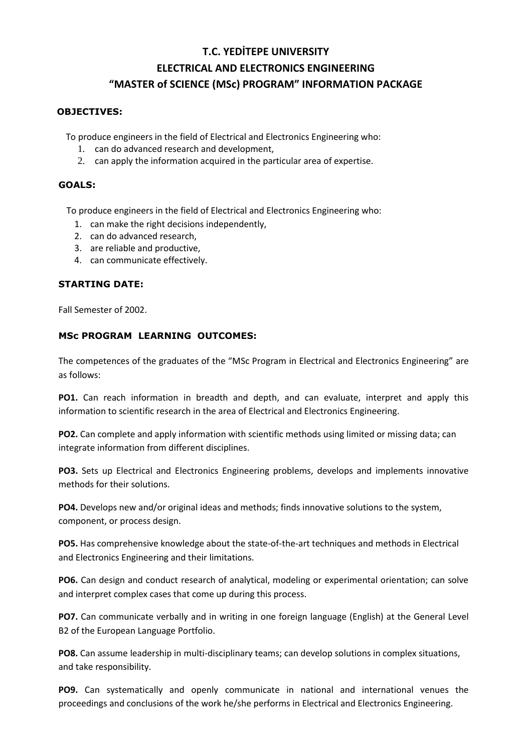## **T.C. YEDİTEPE UNIVERSITY ELECTRICAL AND ELECTRONICS ENGINEERING "MASTER of SCIENCE (MSc) PROGRAM" INFORMATION PACKAGE**

#### **OBJECTIVES:**

To produce engineers in the field of Electrical and Electronics Engineering who:

- 1. can do advanced research and development,
- 2. can apply the information acquired in the particular area of expertise.

#### **GOALS:**

To produce engineers in the field of Electrical and Electronics Engineering who:

- 1. can make the right decisions independently,
- 2. can do advanced research,
- 3. are reliable and productive,
- 4. can communicate effectively.

## **STARTING DATE:**

Fall Semester of 2002.

## **MSc PROGRAM LEARNING OUTCOMES:**

The competences of the graduates of the "MSc Program in Electrical and Electronics Engineering" are as follows:

**PO1.** Can reach information in breadth and depth, and can evaluate, interpret and apply this information to scientific research in the area of Electrical and Electronics Engineering.

**PO2.** Can complete and apply information with scientific methods using limited or missing data; can integrate information from different disciplines.

**PO3.** Sets up Electrical and Electronics Engineering problems, develops and implements innovative methods for their solutions.

**PO4.** Develops new and/or original ideas and methods; finds innovative solutions to the system, component, or process design.

**PO5.** Has comprehensive knowledge about the state-of-the-art techniques and methods in Electrical and Electronics Engineering and their limitations.

**PO6.** Can design and conduct research of analytical, modeling or experimental orientation; can solve and interpret complex cases that come up during this process.

**PO7.** Can communicate verbally and in writing in one foreign language (English) at the General Level B2 of the European Language Portfolio.

**PO8.** Can assume leadership in multi-disciplinary teams; can develop solutions in complex situations, and take responsibility.

**PO9.** Can systematically and openly communicate in national and international venues the proceedings and conclusions of the work he/she performs in Electrical and Electronics Engineering.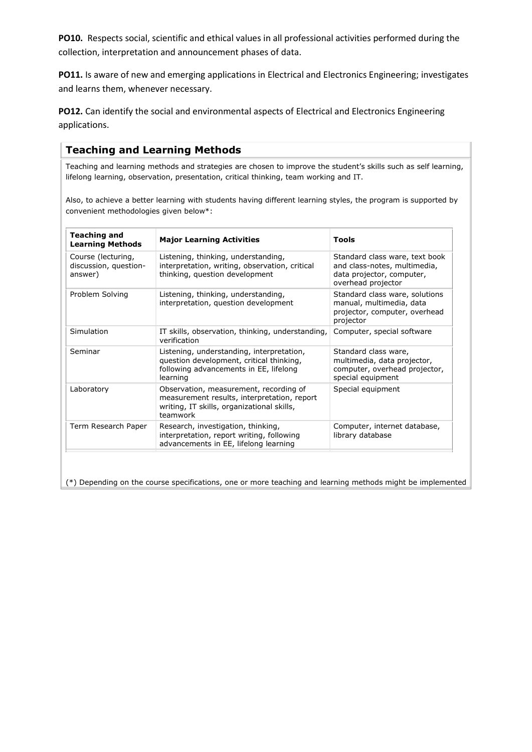**PO10.** Respects social, scientific and ethical values in all professional activities performed during the collection, interpretation and announcement phases of data.

PO11. Is aware of new and emerging applications in Electrical and Electronics Engineering; investigates and learns them, whenever necessary.

**PO12.** Can identify the social and environmental aspects of Electrical and Electronics Engineering applications.

## **Teaching and Learning Methods**

Teaching and learning methods and strategies are chosen to improve the student's skills such as self learning, lifelong learning, observation, presentation, critical thinking, team working and IT.

Also, to achieve a better learning with students having different learning styles, the program is supported by convenient methodologies given below\*:

| <b>Teaching and</b><br><b>Learning Methods</b>         | <b>Major Learning Activities</b>                                                                                                                | <b>Tools</b>                                                                                                      |
|--------------------------------------------------------|-------------------------------------------------------------------------------------------------------------------------------------------------|-------------------------------------------------------------------------------------------------------------------|
| Course (lecturing,<br>discussion, question-<br>answer) | Listening, thinking, understanding,<br>interpretation, writing, observation, critical<br>thinking, question development                         | Standard class ware, text book<br>and class-notes, multimedia,<br>data projector, computer,<br>overhead projector |
| Problem Solving                                        | Listening, thinking, understanding,<br>interpretation, question development                                                                     | Standard class ware, solutions<br>manual, multimedia, data<br>projector, computer, overhead<br>projector          |
| Simulation                                             | IT skills, observation, thinking, understanding,<br>verification                                                                                | Computer, special software                                                                                        |
| Seminar                                                | Listening, understanding, interpretation,<br>question development, critical thinking,<br>following advancements in EE, lifelong<br>learning     | Standard class ware,<br>multimedia, data projector,<br>computer, overhead projector,<br>special equipment         |
| Laboratory                                             | Observation, measurement, recording of<br>measurement results, interpretation, report<br>writing, IT skills, organizational skills,<br>teamwork | Special equipment                                                                                                 |
| Term Research Paper                                    | Research, investigation, thinking,<br>interpretation, report writing, following<br>advancements in EE, lifelong learning                        | Computer, internet database,<br>library database                                                                  |

(\*) Depending on the course specifications, one or more teaching and learning methods might be implemented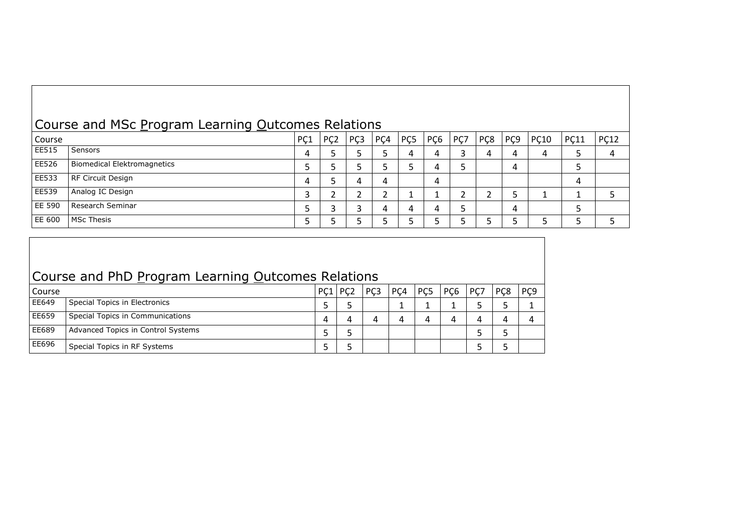# Course and MSc Program Learning Outcomes Relations

| Course        |                                    | PÇ1 | PC <sub>2</sub> | PC <sub>3</sub> | PCA | PC <sub>5</sub> | PC <sub>6</sub> | PÇ7 | P <sub>C</sub> <sub>8</sub> | PC9 | <b>PC10</b> | PC11 | <b>PC12</b> |
|---------------|------------------------------------|-----|-----------------|-----------------|-----|-----------------|-----------------|-----|-----------------------------|-----|-------------|------|-------------|
| EE515         | Sensors                            | 4   |                 |                 |     | 4               | 4               |     |                             | 4   | 4           |      |             |
| EE526         | <b>Biomedical Elektromagnetics</b> |     |                 |                 |     |                 | 4               | ٮ   |                             | 4   |             |      |             |
| EE533         | RF Circuit Design                  | 4   |                 |                 | 4   |                 | 4               |     |                             |     |             | 4    |             |
| EE539         | Analog IC Design                   | ت   |                 |                 |     |                 |                 |     |                             |     |             |      |             |
| <b>EE 590</b> | Research Seminar                   |     |                 |                 |     | 4               | 4               |     |                             | 4   |             |      |             |
| I EE 600      | <b>MSc Thesis</b>                  |     |                 |                 |     |                 |                 |     |                             |     |             |      |             |

# Course and PhD Program Learning Outcomes Relations

| Course |                                    | PC1 | PC <sub>2</sub> | PC <sub>3</sub> | PC4 | PC <sub>5</sub> | PC <sub>6</sub> | PC7 | PC8 | PC9 |
|--------|------------------------------------|-----|-----------------|-----------------|-----|-----------------|-----------------|-----|-----|-----|
| EE649  | Special Topics in Electronics      |     |                 |                 |     |                 |                 |     |     |     |
| EE659  | Special Topics in Communications   |     |                 |                 |     | 4               | Д               | Д   |     |     |
| EE689  | Advanced Topics in Control Systems |     |                 |                 |     |                 |                 |     |     |     |
| EE696  | Special Topics in RF Systems       |     |                 |                 |     |                 |                 |     |     |     |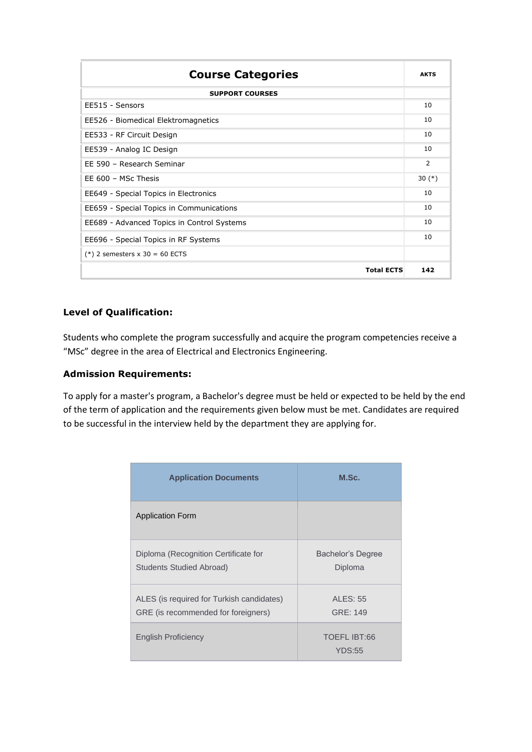| <b>Course Categories</b>                   |     |  |  |  |  |
|--------------------------------------------|-----|--|--|--|--|
| <b>SUPPORT COURSES</b>                     |     |  |  |  |  |
| EE515 - Sensors                            | 10  |  |  |  |  |
| EE526 - Biomedical Elektromagnetics        |     |  |  |  |  |
| EE533 - RF Circuit Design                  |     |  |  |  |  |
| EE539 - Analog IC Design                   |     |  |  |  |  |
| FF 590 - Research Seminar                  |     |  |  |  |  |
| EE $600 -$ MSc Thesis                      |     |  |  |  |  |
| EE649 - Special Topics in Electronics      |     |  |  |  |  |
| EE659 - Special Topics in Communications   |     |  |  |  |  |
| EE689 - Advanced Topics in Control Systems |     |  |  |  |  |
| EE696 - Special Topics in RF Systems       |     |  |  |  |  |
| $(*)$ 2 semesters x 30 = 60 ECTS           |     |  |  |  |  |
| <b>Total ECTS</b>                          | 142 |  |  |  |  |

## **Level of Qualification:**

Students who complete the program successfully and acquire the program competencies receive a "MSc" degree in the area of Electrical and Electronics Engineering.

### **Admission Requirements:**

To apply for a master's program, a Bachelor's degree must be held or expected to be held by the end of the term of application and the requirements given below must be met. Candidates are required to be successful in the interview held by the department they are applying for.

| <b>Application Documents</b>                                                     | M.Sc.                         |  |  |  |  |  |  |
|----------------------------------------------------------------------------------|-------------------------------|--|--|--|--|--|--|
| <b>Application Form</b>                                                          |                               |  |  |  |  |  |  |
| Diploma (Recognition Certificate for<br><b>Students Studied Abroad)</b>          | Bachelor's Degree<br>Diploma  |  |  |  |  |  |  |
| ALES (is required for Turkish candidates)<br>GRE (is recommended for foreigners) | <b>ALES: 55</b><br>GRE: 149   |  |  |  |  |  |  |
| <b>English Proficiency</b>                                                       | TOEFL IBT:66<br><b>YDS:55</b> |  |  |  |  |  |  |